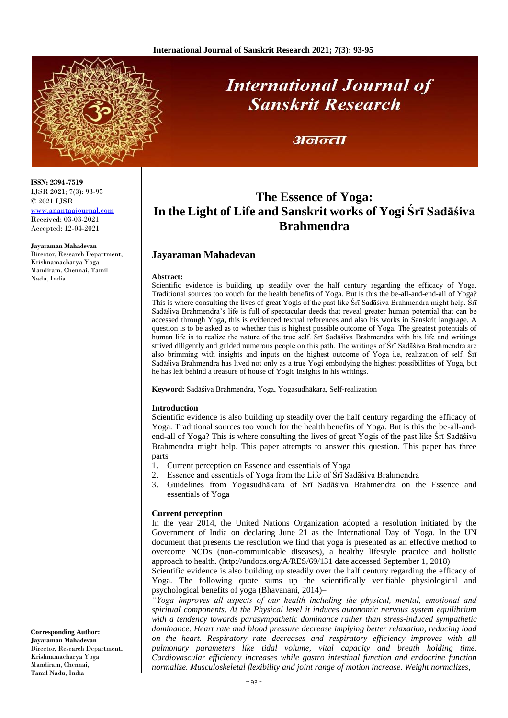

# **International Journal of Sanskrit Research**

# अनन्ता

**The Essence of Yoga: In the Light of Life and Sanskrit works of Yogi Śrī Sadāśiva Brahmendra**

# **Jayaraman Mahadevan**

### **Abstract:**

Scientific evidence is building up steadily over the half century regarding the efficacy of Yoga. Traditional sources too vouch for the health benefits of Yoga. But is this the be-all-and-end-all of Yoga? This is where consulting the lives of great Yogis of the past like Śrī Sadāśiva Brahmendra might help. Śrī Sadāśiva Brahmendra's life is full of spectacular deeds that reveal greater human potential that can be accessed through Yoga, this is evidenced textual references and also his works in Sanskrit language. A question is to be asked as to whether this is highest possible outcome of Yoga. The greatest potentials of human life is to realize the nature of the true self. Śrī Sadāśiva Brahmendra with his life and writings strived diligently and guided numerous people on this path. The writings of Śrī Sadāśiva Brahmendra are also brimming with insights and inputs on the highest outcome of Yoga i.e, realization of self. Śrī Sadāśiva Brahmendra has lived not only as a true Yogi embodying the highest possibilities of Yoga, but he has left behind a treasure of house of Yogic insights in his writings.

**Keyword:** Sadāśiva Brahmendra, Yoga, Yogasudhākara, Self-realization

# **Introduction**

Scientific evidence is also building up steadily over the half century regarding the efficacy of Yoga. Traditional sources too vouch for the health benefits of Yoga. But is this the be-all-andend-all of Yoga? This is where consulting the lives of great Yogis of the past like Śrī Sadāśiva Brahmendra might help. This paper attempts to answer this question. This paper has three parts

- 1. Current perception on Essence and essentials of Yoga
- 2. Essence and essentials of Yoga from the Life of Śrī Sadāśiva Brahmendra
- 3. Guidelines from Yogasudhākara of Śrī Sadāśiva Brahmendra on the Essence and essentials of Yoga

# **Current perception**

In the year 2014, the United Nations Organization adopted a resolution initiated by the Government of India on declaring June 21 as the International Day of Yoga. In the UN document that presents the resolution we find that yoga is presented as an effective method to overcome NCDs (non-communicable diseases), a healthy lifestyle practice and holistic approach to health. (http://undocs.org/A/RES/69/131 date accessed September 1, 2018)

Scientific evidence is also building up steadily over the half century regarding the efficacy of Yoga. The following quote sums up the scientifically verifiable physiological and psychological benefits of yoga (Bhavanani, 2014)–

*"Yoga improves all aspects of our health including the physical, mental, emotional and spiritual components. At the Physical level it induces autonomic nervous system equilibrium with a tendency towards parasympathetic dominance rather than stress-induced sympathetic dominance. Heart rate and blood pressure decrease implying better relaxation, reducing load on the heart. Respiratory rate decreases and respiratory efficiency improves with all pulmonary parameters like tidal volume, vital capacity and breath holding time. Cardiovascular efficiency increases while gastro intestinal function and endocrine function normalize. Musculoskeletal flexibility and joint range of motion increase. Weight normalizes,*

**ISSN: 2394-7519** IJSR 2021; 7(3): 93-95 © 2021 IJSR

[www.anantaajournal.com](http://www.anantaajournal.com/) Received: 03-03-2021 Accepted: 12-04-2021

**Jayaraman Mahadevan**

Director, Research Department, Krishnamacharya Yoga Mandiram, Chennai, Tamil Nadu, India

**Corresponding Author: Jayaraman Mahadevan** Director, Research Department, Krishnamacharya Yoga Mandiram, Chennai, Tamil Nadu, India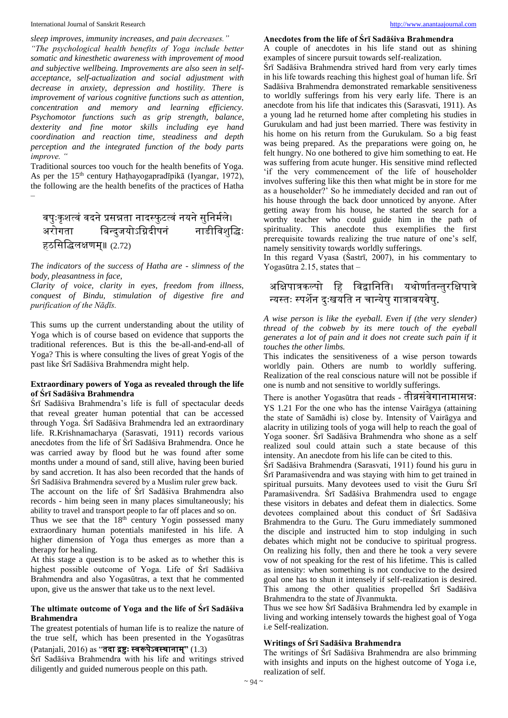International Journal of Sanskrit Research [http://www.anantaajournal.com](http://www.anantaajournal.com/) http://www.anantaajournal.com

*sleep improves, immunity increases, and pain decreases."* 

*"The psychological health benefits of Yoga include better somatic and kinesthetic awareness with improvement of mood and subjective wellbeing. Improvements are also seen in selfacceptance, self-actualization and social adjustment with decrease in anxiety, depression and hostility. There is improvement of various cognitive functions such as attention, concentration and memory and learning efficiency. Psychomotor functions such as grip strength, balance, dexterity and fine motor skills including eye hand coordination and reaction time, steadiness and depth perception and the integrated function of the body parts improve. "*

Traditional sources too vouch for the health benefits of Yoga. As per the 15<sup>th</sup> century Hathayogapradīpikā (Iyangar, 1972), the following are the health benefits of the practices of Hatha –

# वपुःकृशत्वं वदने प्रसन्नता नादस्फुटत्वं नयने सुनिर्मले। ्<br>बिन्दुजयोऽग्निदीपनं नाडीविश्द्धिः हठसिद्धिलक्षणम्॥ (2.72)

*The indicators of the success of Hatha are - slimness of the body, pleasantness in face,* 

*Clarity of voice, clarity in eyes, freedom from illness, conquest of Bindu, stimulation of digestive fire and purification of the Nāḍīs.* 

This sums up the current understanding about the utility of Yoga which is of course based on evidence that supports the traditional references. But is this the be-all-and-end-all of Yoga? This is where consulting the lives of great Yogis of the past like Śrī Sadāśiva Brahmendra might help.

# **Extraordinary powers of Yoga as revealed through the life of Śrī Sadāśiva Brahmendra**

Śrī Sadāśiva Brahmendra's life is full of spectacular deeds that reveal greater human potential that can be accessed through Yoga. Śrī Sadāśiva Brahmendra led an extraordinary life. R.Krishnamacharya (Sarasvati, 1911) records various anecdotes from the life of Śrī Sadāśiva Brahmendra. Once he was carried away by flood but he was found after some months under a mound of sand, still alive, having been buried by sand accretion. It has also been recorded that the hands of Śrī Sadāśiva Brahmendra severed by a Muslim ruler grew back.

The account on the life of Śrī Sadāśiva Brahmendra also records - him being seen in many places simultaneously; his ability to travel and transport people to far off places and so on.

Thus we see that the  $18<sup>th</sup>$  century Yogin possessed many extraordinary human potentials manifested in his life. A higher dimension of Yoga thus emerges as more than a therapy for healing.

At this stage a question is to be asked as to whether this is highest possible outcome of Yoga. Life of Śrī Sadāśiva Brahmendra and also Yogasūtras, a text that he commented upon, give us the answer that take us to the next level.

# **The ultimate outcome of Yoga and the life of Śrī Sadāśiva Brahmendra**

The greatest potentials of human life is to realize the nature of the true self, which has been presented in the Yogasūtras

(Patanjali, 2016) as "तदा द्रष्टः स्वरूपेऽवस्थानाम्" (1.3)

Śrī Sadāśiva Brahmendra with his life and writings strived diligently and guided numerous people on this path.

# **Anecdotes from the life of Śrī Sadāśiva Brahmendra**

A couple of anecdotes in his life stand out as shining examples of sincere pursuit towards self-realization.

Śrī Sadāśiva Brahmendra strived hard from very early times in his life towards reaching this highest goal of human life. Śrī Sadāśiva Brahmendra demonstrated remarkable sensitiveness to worldly sufferings from his very early life. There is an anecdote from his life that indicates this (Sarasvati, 1911). As a young lad he returned home after completing his studies in Gurukulam and had just been married. There was festivity in his home on his return from the Gurukulam. So a big feast was being prepared. As the preparations were going on, he felt hungry. No one bothered to give him something to eat. He was suffering from acute hunger. His sensitive mind reflected 'if the very commencement of the life of householder involves suffering like this then what might be in store for me as a householder?' So he immediately decided and ran out of his house through the back door unnoticed by anyone. After getting away from his house, he started the search for a worthy teacher who could guide him in the path of spirituality. This anecdote thus exemplifies the first prerequisite towards realizing the true nature of one's self, namely sensitivity towards worldly sufferings.

In this regard Vyasa (Śastrī, 2007), in his commentary to Yogasūtra 2.15, states that  $-$ 

# अक्षिपात्रकल्पो हि विद्वानिति। यथोर्णातन्तुरक्षिपात्रे न्यस्तः स्पर्शेन दुःखयति न चान्येषु गात्रावयवेषु.

*A wise person is like the eyeball. Even if (the very slender) thread of the cobweb by its mere touch of the eyeball generates a lot of pain and it does not create such pain if it touches the other limbs.* 

This indicates the sensitiveness of a wise person towards worldly pain. Others are numb to worldly suffering. Realization of the real conscious nature will not be possible if one is numb and not sensitive to worldly sufferings.

There is another Yogasūtra that reads - तीव्रसंवेगानामासन्नः YS 1.21 For the one who has the intense Vairāgya (attaining the state of Samādhi is) close by. Intensity of Vairāgya and alacrity in utilizing tools of yoga will help to reach the goal of Yoga sooner. Śrī Sadāśiva Brahmendra who shone as a self realized soul could attain such a state because of this intensity. An anecdote from his life can be cited to this.

Śrī Sadāśiva Brahmendra (Sarasvati, 1911) found his guru in Śrī Paramaśivendra and was staying with him to get trained in spiritual pursuits. Many devotees used to visit the Guru Śrī Paramaśivendra. Śrī Sadāśiva Brahmendra used to engage these visitors in debates and defeat them in dialectics. Some devotees complained about this conduct of Śrī Sadāśiva Brahmendra to the Guru. The Guru immediately summoned the disciple and instructed him to stop indulging in such debates which might not be conducive to spiritual progress. On realizing his folly, then and there he took a very severe vow of not speaking for the rest of his lifetime. This is called as intensity: when something is not conducive to the desired goal one has to shun it intensely if self-realization is desired. This among the other qualities propelled Śrī Sadāśiva Brahmendra to the state of Jīvanmukta.

Thus we see how Śrī Sadāśiva Brahmendra led by example in living and working intensely towards the highest goal of Yoga i.e Self-realization.

# **Writings of Śrī Sadāśiva Brahmendra**

The writings of Śrī Sadāśiva Brahmendra are also brimming with insights and inputs on the highest outcome of Yoga i.e, realization of self.